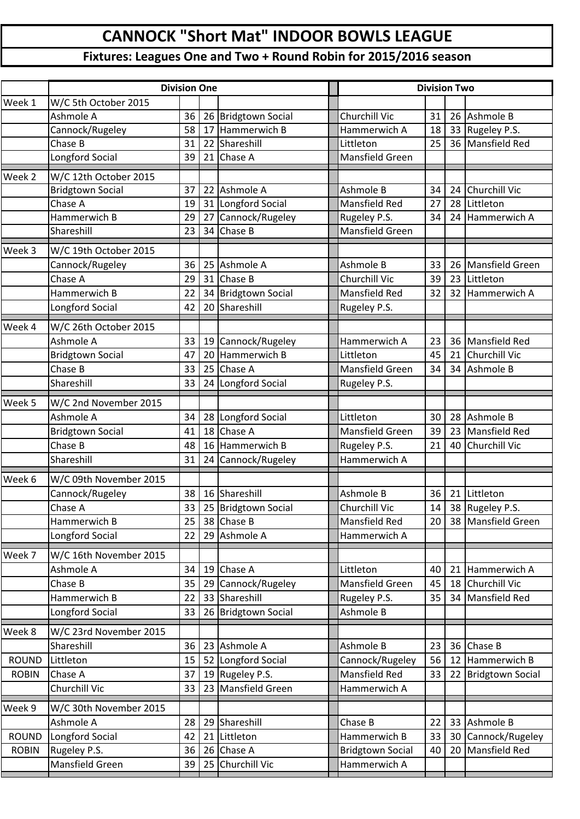## **CANNOCK "Short Mat" INDOOR BOWLS LEAGUE**

## **Fixtures: Leagues One and Two + Round Robin for 2015/2016 season**

|              | <b>Division One</b>     |    |    |                      |  | <b>Division Two</b>     |    |    |                         |
|--------------|-------------------------|----|----|----------------------|--|-------------------------|----|----|-------------------------|
| Week 1       | W/C 5th October 2015    |    |    |                      |  |                         |    |    |                         |
|              | Ashmole A               | 36 |    | 26 Bridgtown Social  |  | Churchill Vic           | 31 | 26 | Ashmole B               |
|              | Cannock/Rugeley         | 58 | 17 | Hammerwich B         |  | Hammerwich A            | 18 | 33 | Rugeley P.S.            |
|              | Chase B                 | 31 |    | 22 Shareshill        |  | Littleton               | 25 | 36 | <b>Mansfield Red</b>    |
|              | Longford Social         | 39 |    | 21 Chase A           |  | Mansfield Green         |    |    |                         |
| Week 2       | W/C 12th October 2015   |    |    |                      |  |                         |    |    |                         |
|              | <b>Bridgtown Social</b> | 37 |    | 22 Ashmole A         |  | Ashmole B               | 34 | 24 | <b>Churchill Vic</b>    |
|              | Chase A                 | 19 |    | 31 Longford Social   |  | <b>Mansfield Red</b>    | 27 | 28 | Littleton               |
|              | Hammerwich B            | 29 | 27 | Cannock/Rugeley      |  | Rugeley P.S.            | 34 | 24 | Hammerwich A            |
|              | Shareshill              | 23 | 34 | Chase B              |  | Mansfield Green         |    |    |                         |
| Week 3       | W/C 19th October 2015   |    |    |                      |  |                         |    |    |                         |
|              | Cannock/Rugeley         | 36 | 25 | Ashmole A            |  | Ashmole B               | 33 | 26 | <b>Mansfield Green</b>  |
|              | Chase A                 | 29 |    | 31 Chase B           |  | Churchill Vic           | 39 | 23 | Littleton               |
|              | Hammerwich B            | 22 |    | 34 Bridgtown Social  |  | <b>Mansfield Red</b>    | 32 | 32 | Hammerwich A            |
|              | Longford Social         | 42 |    | 20 Shareshill        |  | Rugeley P.S.            |    |    |                         |
| Week 4       | W/C 26th October 2015   |    |    |                      |  |                         |    |    |                         |
|              | Ashmole A               | 33 | 19 | Cannock/Rugeley      |  | Hammerwich A            | 23 | 36 | <b>Mansfield Red</b>    |
|              | <b>Bridgtown Social</b> | 47 | 20 | Hammerwich B         |  | Littleton               | 45 | 21 | Churchill Vic           |
|              | Chase B                 | 33 |    | 25 Chase A           |  | Mansfield Green         | 34 | 34 | Ashmole B               |
|              | Shareshill              | 33 |    | 24 Longford Social   |  | Rugeley P.S.            |    |    |                         |
| Week 5       | W/C 2nd November 2015   |    |    |                      |  |                         |    |    |                         |
|              | Ashmole A               | 34 |    | 28   Longford Social |  | Littleton               | 30 | 28 | Ashmole B               |
|              | <b>Bridgtown Social</b> | 41 | 18 | Chase A              |  | Mansfield Green         | 39 | 23 | <b>Mansfield Red</b>    |
|              | Chase B                 | 48 |    | 16 Hammerwich B      |  | Rugeley P.S.            | 21 | 40 | Churchill Vic           |
|              | Shareshill              | 31 |    | 24 Cannock/Rugeley   |  | Hammerwich A            |    |    |                         |
| Week 6       | W/C 09th November 2015  |    |    |                      |  |                         |    |    |                         |
|              | Cannock/Rugeley         | 38 |    | 16 Shareshill        |  | Ashmole B               | 36 | 21 | Littleton               |
|              | Chase A                 | 33 |    | 25 Bridgtown Social  |  | <b>Churchill Vic</b>    | 14 |    | 38 Rugeley P.S.         |
|              | Hammerwich B            | 25 |    | 38 Chase B           |  | Mansfield Red           | 20 | 38 | Mansfield Green         |
|              | <b>Longford Social</b>  | 22 |    | 29 Ashmole A         |  | Hammerwich A            |    |    |                         |
| Week 7       | W/C 16th November 2015  |    |    |                      |  |                         |    |    |                         |
|              | Ashmole A               | 34 |    | 19 Chase A           |  | Littleton               | 40 | 21 | Hammerwich A            |
|              | Chase B                 | 35 | 29 | Cannock/Rugeley      |  | Mansfield Green         | 45 | 18 | Churchill Vic           |
|              | Hammerwich B            | 22 | 33 | Shareshill           |  | Rugeley P.S.            | 35 | 34 | <b>Mansfield Red</b>    |
|              | Longford Social         | 33 |    | 26 Bridgtown Social  |  | Ashmole B               |    |    |                         |
| Week 8       | W/C 23rd November 2015  |    |    |                      |  |                         |    |    |                         |
|              | Shareshill              | 36 |    | 23 Ashmole A         |  | Ashmole B               | 23 | 36 | Chase B                 |
| <b>ROUND</b> | Littleton               | 15 |    | 52 Longford Social   |  | Cannock/Rugeley         | 56 | 12 | Hammerwich B            |
| <b>ROBIN</b> | Chase A                 | 37 |    | 19 Rugeley P.S.      |  | Mansfield Red           | 33 | 22 | <b>Bridgtown Social</b> |
|              | Churchill Vic           | 33 |    | 23 Mansfield Green   |  | Hammerwich A            |    |    |                         |
| Week 9       | W/C 30th November 2015  |    |    |                      |  |                         |    |    |                         |
|              | Ashmole A               | 28 |    | 29 Shareshill        |  | Chase B                 | 22 | 33 | Ashmole B               |
| <b>ROUND</b> | Longford Social         | 42 | 21 | Littleton            |  | Hammerwich B            | 33 | 30 | Cannock/Rugeley         |
| <b>ROBIN</b> | Rugeley P.S.            | 36 |    | 26 Chase A           |  | <b>Bridgtown Social</b> | 40 | 20 | <b>Mansfield Red</b>    |
|              | Mansfield Green         | 39 |    | 25 Churchill Vic     |  | Hammerwich A            |    |    |                         |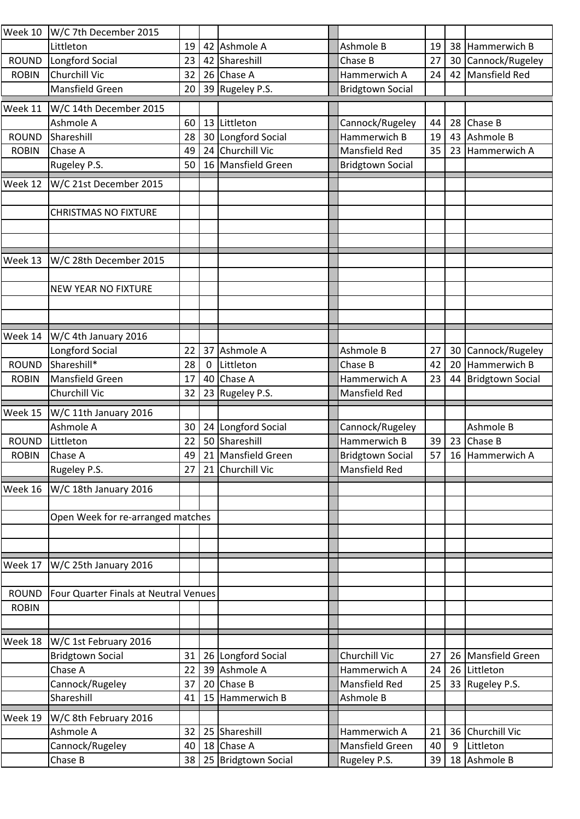| Week 10      | W/C 7th December 2015                 |          |    |                                   |                                 |          |         |                         |
|--------------|---------------------------------------|----------|----|-----------------------------------|---------------------------------|----------|---------|-------------------------|
|              | Littleton                             | 19       |    | 42 Ashmole A                      | Ashmole B                       | 19       | 38      | Hammerwich B            |
| <b>ROUND</b> | Longford Social                       | 23       | 42 | Shareshill                        | Chase B                         | 27       | 30      | Cannock/Rugeley         |
| <b>ROBIN</b> | Churchill Vic                         | 32       |    | 26 Chase A                        | Hammerwich A                    | 24       | 42      | Mansfield Red           |
|              | Mansfield Green                       | 20       |    | 39 Rugeley P.S.                   | <b>Bridgtown Social</b>         |          |         |                         |
| Week 11      | W/C 14th December 2015                |          |    |                                   |                                 |          |         |                         |
|              | Ashmole A                             | 60       | 13 | Littleton                         | Cannock/Rugeley                 | 44       | 28      | Chase B                 |
| <b>ROUND</b> | Shareshill                            | 28       | 30 | Longford Social                   | Hammerwich B                    | 19       | 43      | Ashmole B               |
| <b>ROBIN</b> | Chase A                               | 49       |    | 24 Churchill Vic                  | <b>Mansfield Red</b>            | 35       | 23      | Hammerwich A            |
|              | Rugeley P.S.                          | 50       |    | 16 Mansfield Green                | <b>Bridgtown Social</b>         |          |         |                         |
|              |                                       |          |    |                                   |                                 |          |         |                         |
| Week 12      | W/C 21st December 2015                |          |    |                                   |                                 |          |         |                         |
|              | <b>CHRISTMAS NO FIXTURE</b>           |          |    |                                   |                                 |          |         |                         |
|              |                                       |          |    |                                   |                                 |          |         |                         |
|              |                                       |          |    |                                   |                                 |          |         |                         |
|              |                                       |          |    |                                   |                                 |          |         |                         |
| Week 13      | W/C 28th December 2015                |          |    |                                   |                                 |          |         |                         |
|              |                                       |          |    |                                   |                                 |          |         |                         |
|              | <b>NEW YEAR NO FIXTURE</b>            |          |    |                                   |                                 |          |         |                         |
|              |                                       |          |    |                                   |                                 |          |         |                         |
|              |                                       |          |    |                                   |                                 |          |         |                         |
| Week 14      | W/C 4th January 2016                  |          |    |                                   |                                 |          |         |                         |
|              | Longford Social                       | 22       | 37 | Ashmole A                         | Ashmole B                       | 27       | 30      | Cannock/Rugeley         |
| <b>ROUND</b> | Shareshill*                           | 28       | 0  | Littleton                         | Chase B                         | 42       | 20      | Hammerwich B            |
| <b>ROBIN</b> | Mansfield Green                       | 17       | 40 | Chase A                           | Hammerwich A                    | 23       | 44      | <b>Bridgtown Social</b> |
|              | Churchill Vic                         | 32       | 23 | Rugeley P.S.                      | <b>Mansfield Red</b>            |          |         |                         |
|              |                                       |          |    |                                   |                                 |          |         |                         |
| Week 15      | W/C 11th January 2016<br>Ashmole A    | 30       | 24 | Longford Social                   |                                 |          |         | Ashmole B               |
|              |                                       |          |    |                                   | Cannock/Rugeley                 |          |         |                         |
|              |                                       |          |    |                                   |                                 |          |         |                         |
| <b>ROUND</b> | Littleton                             | 22       | 50 | Shareshill                        | Hammerwich B                    | 39       | 23      | Chase B                 |
| <b>ROBIN</b> | Chase A                               | 49       |    | 21 Mansfield Green                | <b>Bridgtown Social</b>         | 57       | 16      | Hammerwich A            |
|              | Rugeley P.S.                          | 27       |    | 21 Churchill Vic                  | Mansfield Red                   |          |         |                         |
| Week 16      | W/C 18th January 2016                 |          |    |                                   |                                 |          |         |                         |
|              |                                       |          |    |                                   |                                 |          |         |                         |
|              | Open Week for re-arranged matches     |          |    |                                   |                                 |          |         |                         |
|              |                                       |          |    |                                   |                                 |          |         |                         |
|              |                                       |          |    |                                   |                                 |          |         |                         |
| Week 17      | W/C 25th January 2016                 |          |    |                                   |                                 |          |         |                         |
|              |                                       |          |    |                                   |                                 |          |         |                         |
| <b>ROUND</b> | Four Quarter Finals at Neutral Venues |          |    |                                   |                                 |          |         |                         |
| <b>ROBIN</b> |                                       |          |    |                                   |                                 |          |         |                         |
|              |                                       |          |    |                                   |                                 |          |         |                         |
|              |                                       |          |    |                                   |                                 |          |         |                         |
| Week 18      | W/C 1st February 2016                 |          |    |                                   |                                 |          |         |                         |
|              | <b>Bridgtown Social</b>               | 31       |    | 26 Longford Social                | Churchill Vic                   | 27       | 26      | Mansfield Green         |
|              | Chase A                               | 22       |    | 39 Ashmole A                      | Hammerwich A                    | 24       | 26      | Littleton               |
|              | Cannock/Rugeley                       | 37       | 20 | Chase B                           | <b>Mansfield Red</b>            | 25       | 33      | Rugeley P.S.            |
|              | Shareshill                            | 41       | 15 | Hammerwich B                      | Ashmole B                       |          |         |                         |
| Week 19      | W/C 8th February 2016                 |          |    |                                   |                                 |          |         |                         |
|              | Ashmole A                             | 32       | 25 | Shareshill                        | Hammerwich A                    | 21       | 36      | <b>Churchill Vic</b>    |
|              | Cannock/Rugeley<br>Chase B            | 40<br>38 |    | 18 Chase A<br>25 Bridgtown Social | Mansfield Green<br>Rugeley P.S. | 40<br>39 | 9<br>18 | Littleton<br>Ashmole B  |